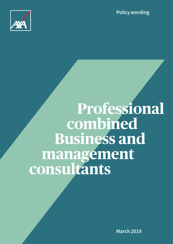**Policy wording**



# **Professional combined Business and management consultants**

**March 2019**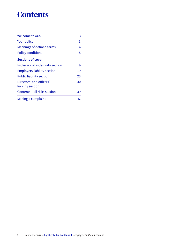# **Contents**

| <b>Welcome to AXA</b>                         | 3  |
|-----------------------------------------------|----|
| <b>Your policy</b>                            |    |
| Meanings of defined terms                     | 4  |
| <b>Policy conditions</b>                      | 5  |
| <b>Sections of cover</b>                      |    |
| Professional indemnity section                | 9  |
| <b>Employers liability section</b>            | 19 |
| <b>Public liability section</b>               | 23 |
| Directors' and officers'<br>liability section | 30 |
| Contents - all risks section                  | 39 |
| Making a complaint                            | 42 |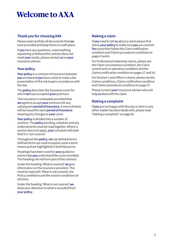# **Welcome to AXA**

# **Thank you for choosing AXA**

Please read carefully all documents that **we** have provided and keep them in a safe place.

If **you** have any questions, need anything explaining or believe this contract does not meet **your** needs, please contact **us** or **your** insurance adviser.

# **Your policy**

**Your policy** is a contract of insurance between **you** and **us** and **you** have a duty to make a fair presentation of the risk to **us** in accordance with the law.

The **policy** describes the insurance cover for which **we** have accepted **your** premium.

This insurance is renewable provided that **we** agree to accept **your** premium for any subsequent **period of insurance**. A new schedule will be issued for each **period of insurance** showing any changes to **your** cover.

**Your policy** is divided into a number of sections. The **policy** wording, schedule and any endorsements must be read together. Where a section does not apply, **your** schedule will state that it is 'not covered'.

Throughout this **policy**, **we** use defined terms. Defined terms are used to explain what a word means and are highlighted in bold blue print.

Headings have been used for **your** guidance and to help **you** understand the cover provided. The headings do not form part of the contract.

Under the heading 'What is covered' **we** give information on the insurance provided. This must be read with 'What is not covered', the Policy conditions and the section conditions at all times.

Under the heading 'What is not covered' **we** draw your attention to what is excluded from **your policy**.

# **Making a claim**

If **you** need to tell **us** about a claim please first check **your policy** to make sure **you** are covered. **You** must then follow the Claim notification condition and Claims procedures condition on pages 5 and 6.

For Professional indemnity claims, please see the Claim circumstance condition, the Claim control and co-operation condition and the Claims notification condition on pages 17 and 18.

For Director's and officer's claims, please see the Claims conditions, Claims notification condition and Claims procedures condition on page 37.

Please contact **your** insurance adviser who will help **us** deal with the claim.

# **Making a complaint**

If **you** are not happy with the way a claim or any other matter has been dealt with, please read 'Making a complaint' on page 42.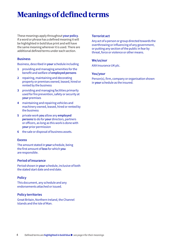# **Meanings of defined terms**

These meanings apply throughout **your policy**. If a word or phrase has a defined meaning it will be highlighted in bold blue print and will have the same meaning wherever it is used. There are additional defined terms under each section.

# **Business**

Business, described in **your** schedule including

- **1** providing and managing amenities for the benefit and welfare of **employed persons**
- **2** repairing, maintaining and decorating property or premises owned, leased, hired or rented by the business
- **3** providing and managing facilities primarily used for fire prevention, safety or security at **your** premises
- **4** maintaining and repairing vehicles and machinery owned, leased, hired or rented by the business
- **5** private work **you** allow any **employed persons** to do for **your** directors, partners or officers, as long as this work is done with **your** prior permission
- **6** the sale or disposal of business assets.

#### **Excess**

The amount stated in **your** schedule, being the first amount of **loss** for which **you**  are responsible.

#### **Period of insurance**

Period shown in **your** schedule, inclusive of both the stated start date and end date.

#### **Policy**

This document, any schedule and any endorsements attached or issued.

#### **Policy territories**

Great Britain, Northern Ireland, the Channel Islands and the Isle of Man.

#### **Terrorist act**

Any act of a person or group directed towards the overthrowing or influencing of any government, or putting any section of the public in fear by threat, force or violence or other means.

#### **We/us/our**

AXA Insurance UK plc.

#### **You/your**

Person(s), firm, company or organisation shown in **your** schedule as the insured.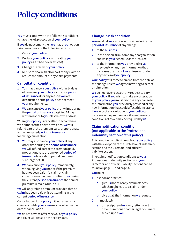# **Policy conditions**

**You** must comply with the following conditions to have the full protection of **your policy**.

If **you** do not comply then **we** may at **our** option take one or more of the following actions

- **1** Cancel **your policy**
- **2** Declare **your policy** void (treating **your policy** as if it had never existed)
- **3** Change the terms of **your policy**
- **4** Refuse to deal with all or part of any claim or reduce the amount of any claim payments.

# **Cancellation condition**

- **1 You** may cancel **your policy** within 14 days of receiving **your policy** for the first **period of insurance** if for any reason **you** are dissatisfied or the **policy** does not meet **your** requirements.
- **2 We** can cancel **your policy** at any time during the **period of insurance** by giving 14 days written notice to **your** last known address.

Where **your policy** is cancelled in accordance with either of the above provisions, **we** will refund part of the premium paid, proportionate to the unexpired **period of insurance** following cancellation.

- **3 You** may also cancel **your policy** at any other time during the **period of insurance**. **We** will refund part of the premium paid, proportionate to the unexpired **period of insurance** less a short period premium surcharge of £50.
- **4 We** can cancel **your policy** immediately, without giving **you** notice if the premium has not been paid. If a claim or claim circumstance has been notified to **us** during the current **period of insurance** the annual premium remains due in full.

**We** will only refund premium provided that no **claim** has been paid or is outstanding in the current **period of insurance**.

Cancellation of this **policy** will not affect any claims or rights **you** or **we** may have before the date of cancellation.

**We** do not have to offer renewal of **your policy** and cover will cease on the expiry date.

# **Change in risk condition**

**You** must tell **us** as soon as possible during the **period of insurance** of any change

- **1** to the **business**
- **2** in the person, firm, company or organisation shown in **your** schedule as the insured
- **3** to the information **you** provided to **us** previously or any new information that increases the risk of **loss** as insured under any section of **your policy**.

**Your policy** will come to an end from the date of the change unless **we** agree in writing to accept an alteration.

**We** do not have to accept any request to vary **your policy**. If **you** wish to make any alteration to **your policy you** must disclose any change to the information **you** previously provided or any new information that could affect this insurance. If **we** accept any variation to **your policy**, an increase in the premium or different terms or conditions of cover may be required by **us**.

# **Claim notification condition (not applicable to the Professional indemnity section of this policy)**

This condition applies throughout **your policy** with the exception of the Professional indemnity section and the Directors' and officers' liability section.

The claims notification conditions to **your** Professional indemnity section and **your** Directors' and officers' liability sections can be found on page 18 and page 37.

#### **You** must

- **1** as soon as practical
	- **a** give **us** notice of any circumstances which might lead to a claim under **your policy**
	- **b** give **us** all the information **we** request
- **2** immediately
	- **a** on receipt send **us** every letter, court order, summons or other legal document served upon **you**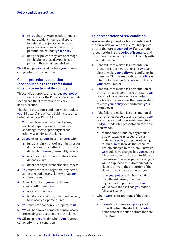- **b** tell **us** about any prosecution, inquest or fatal accident inquiry or dispute for referral to adjudication or court proceedings in connection with any potential claim under **your policy**
- **c** notify the police of any loss or damage that has been caused by malicious persons, thieves, rioters, strikers.

**We** will not pay **your** claim where **you** have not complied with this condition.

# **Claims procedures condition (not applicable to the Professional indemnity section of this policy)**

This condition applies throughout **your policy** with the exception of the Professional indemnity section and the Directors' and officers' liability section.

The claims procedure condition which apply to **your** Directors' and officers' liability section can be found on page 37 and 38.

- **1 You** must take, or allow others to take, practical steps to prevent further loss or damage, recover property lost and otherwise minimise the claim.
- **2** At **your** expense **you** must provide **us** with
	- **a** full details in writing of any injury, loss or damage and any further information or declaration **we** may reasonably require
	- **b** any assistance to enable **us** to settle or defend a claim
	- **c** details of any relevant other insurances.
- **3 You** must not accept, negotiate, pay, settle, admit or repudiate any claim without **our** written consent.
- **4** Following a claim **you** must allow **us** or anyone authorised by **us**
	- **a** access to premises
	- **b** to take possession of, or request delivery to **us** of any property insured.
- **5 You** must not abandon any property to **us**.
- **6 We** will be allowed complete control of any proceedings and settlement of the claim.

**We** will not pay **your** claim where **you** have not complied with this condition.

# **Fair presentation of risk condition**

**You** have a duty to make a fair presentation of the risk which **you** wish to insure. This applies prior to the start of **your policy**, if any variation is required during the **period of insurance** and prior to each renewal. If **you** do not comply with this condition then

- **1** if the failure to make a fair presentation of the risk is deliberate or reckless **we** can elect to make **your policy** void and keep the premium. This means treating the **policy** as if it had not existed and that **we** will not return **your** premiums, or
- **2** if the failure to make a fair presentation of the risk is not deliberate or reckless and **we** would not have provided cover had **you** made a fair presentation, then **we** can elect to make **your policy** void and return **your** premium, or
- **3** if the failure to make a fair presentation of the risk is not deliberate or reckless and **we** would have issued cover on different terms had **you** made a fair presentation of the risk then **we** can:
	- **a** reduce proportionately any amount paid or payable in respect of a claim under **your policy** using the following formula. **We** will divide the premium actually charged by the premium which **we** would have charged had **you** made a fair presentation and calculate this as a percentage. The same percentage figure will be applied to the full amount of the claim to arrive at the proportion of the claim to be paid or payable; and/or
	- **b** treat **your policy** as if it had included the different terms (other than payment of the premium) that **we** would have imposed had **you** made a fair presentation.
- **4** Where **we** elect to apply one of the above then
	- **a** if **we** elect to make **your policy** void, this will be from the start of the **policy**, or the date of variation or from the date of renewal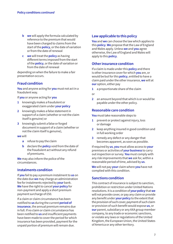- **b we** will apply the formula calculated by reference to the premium that would have been charged to claims from the start of the **policy**, or the date of variation or from the date of renewal
- **c we** will treat the **policy** as having different terms imposed from the start of the **policy**, or the date of variation or from the date of renewal

depending on when the failure to make a fair presentation occurs.

# **Fraud condition**

**You** and anyone acting for **you** must not act in a fraudulent way.

If **you** or anyone acting for **you**

- **1** knowingly makes a fraudulent or exaggerated claim under **your policy**
- **2** knowingly makes a false statement in support of a claim (whether or not the claim itself is genuine) or
- **3** knowingly submit a false or forged document in support of a claim (whether or not the claim itself is genuine),

**we** will

- **a** refuse to pay the claim
- **b** declare the **policy** void from the date of the fraudulent act without any refund of premiums.

**We** may also inform the police of the circumstances.

# **Instalments condition**

If **you** fail to pay a premium instalment to **us** on the date due **we** may charge an administration fee for instalments rejected by **your** bank. **We** have the right to cancel **your policy** for non-payment and apply a short premium payment surcharge of £50.

If a claim or claim circumstance has been notified to **us** during the current **period of insurance**, the annual premium remains due in full. If no claim or claim circumstance has been notified to **us** and insufficient payments have been made to cover the period for which insurance has been provided, payment for the unpaid portion of premium will remain due.

# **Law applicable to this policy**

**You** and **we** can choose the law which applies to this **policy**. **We** propose that the Law of England and Wales apply. Unless **we** and **you** agree otherwise, the Law of England and Wales will apply to this **policy**.

# **Other insurance condition**

If a claim is made under this **policy** and there is other insurance cover for which **you** are, or would be but for this **policy**, entitled to have a claim paid under the other insurance, **we** will at **our** option, either pay

- **1** a proportionate share of the claim
- or
- **2** an amount beyond that which is or would be payable under the other policy.

# **Reasonable care condition**

**You** must take reasonable steps to

- **1** prevent or protect against injury, loss or damage
- **2** keep anything insured in good condition and in full working order
- **3** remedy any defect or any danger that becomes apparent, as soon as possible.

If required by **us**, **you** must allow access to **your** premises or activities of **your business** to carry out inspection or survey. **You** must comply with any risk improvements that **we** ask for, within a reasonable period of time, advised by **us**.

**We** will not pay **your** claim where **you** have not complied with this condition.

# **Sanctions condition**

This contract of insurance is subject to sanction, prohibition or restriction under United Nations resolutions. It is a condition of **your policy** that **we** will not provide cover, or pay any claim or provide any benefit under **your policy** to the extent that the provision of such cover, payment of such claim or provision of such benefit would expose **us**, or **our** parent, subsidiary or any AXA group member company, to any trade or economic sanctions, or violate any laws or regulations of the United Kingdom, the European Union, the United States of America or any other territory.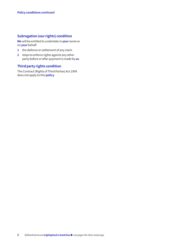# **Subrogation (our rights) condition**

**We** will be entitled to undertake in **your** name or on **your** behalf

- **1** the defence or settlement of any claim
- **2** steps to enforce rights against any other party before or after payment is made by **us**.

# **Third party rights condition**

The Contract (Rights of Third Parties) Act 1999 does not apply to this **policy**.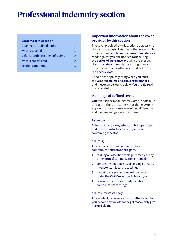# **Professional indemnity section**

#### **Contents of this section**

| Meanings of defined terms        |    |
|----------------------------------|----|
| What is covered                  | 11 |
| Defence and settlement of claims | 14 |
| What is not covered              | 14 |
| Section conditions               | 17 |

# **Important information about the cover provided by this section**

The cover provided by this section operates on a claims-made basis. This means that **we** will only provide cover for **claims** or **claim circumstances** made against **you** and notified to **us** during the **period of insurance**. **We** will not cover any **claim** or **claim circumstance** arising from an act, error or omission that occurred before the **retroactive date**.

Conditions apply regarding when **you** must tell **us** about **claims** or **claim circumstances** and these can be found below. **You** should read these carefully.

# **Meanings of defined terms**

**You** can find the meanings for words in bold blue on page 4. There are some words that may only appear in this section or are defined differently and their meanings are shown here.

# **Asbestos**

Asbestos in any form, asbestos fibres, particles or derivatives of asbestos or any material containing asbestos.

# **Claim(s)**

Any verbal or written demand, notice or communication from a third party

- **1** making an assertion for legal remedy or any other form of compensation or remedy
- **2** containing reference to, or serving notice of, intent to start legal proceedings
- **3** invoking any pre-action protocol as set under the Civil Procedure Rules and/or
- **4** referring to arbitration, adjudication or complaint proceedings.

# **Claim circumstance(s)**

Any incident, occurrence, fact, matter or act that **you** become aware of that might reasonably give rise to a **claim**.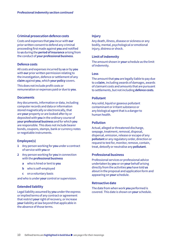#### **Criminal prosecution defence costs**

Costs and expenses that **you** incur with **our** prior written consent to defend any criminal proceeding first made against **you** and notified to **us** during the **period of insurance** arising from the conduct of **your professional business**.

#### **Defence costs**

All costs and expenses incurred by **us** or by **you** with **our** prior written permission relating to the investigation, defence or settlement of any **claim** against **you**, which **your policy** covers.

This does not include profit costs or remuneration or expenses paid or due to **you**.

#### **Documents**

Any documents, information or data, including computer records and data or information stored magnetically or electronically, that are **your** property or are looked after by or deposited with **you** in the ordinary course of **your professional business** and for which **you** are responsible. This does not include bearer bonds, coupons, stamps, bank or currency notes or negotiable instruments.

#### **Employee(s)**

- **1** Any person working for **you** under a contract of service with **you** or
- **2** Any person working for **you** in connection with the **professional business**
	- **a** who is hired or lent to **you**
	- **b** who is self-employed
	- **c** on a voluntary basis

and who is under **your** control or supervision.

#### **Extended liability**

Legal liability assumed by **you** under the express or implied terms of any contract or agreement that restrict **your** right of recovery, or increase **your** liability at law beyond that applicable in the absence of those terms.

#### **Injury**

Any death, illness, disease or sickness or any bodily, mental, psychological or emotional injury, distress or shock.

#### **Limit of indemnity**

The amount shown in **your** schedule as the limit of indemnity.

#### **Loss**

The amount that **you** are legally liable to pay due to a **claim**, including awards of damages, awards of claimant costs and amounts that are pursuant to settlements, but not including **defence costs**.

#### **Pollutant**

Any solid, liquid or gaseous pollutant contaminant or irritant substance or any biological agent that is a danger to human health.

#### **Pollution**

Actual, alleged or threatened discharge, seepage, treatment, removal, disposal, dispersal, emission, release or escape of any **pollutant** or any regulatory order, direction or request to test for, monitor, remove, contain, treat, detoxify or neutralise any **pollutant**.

#### **Professional business**

Professional services or professional advice undertaken by **you** or on **your** behalf arising directly from the activities **you** have told **us** about in the proposal and application form and appearing on **your** schedule.

#### **Retroactive date**

The date from when work **you** performed is covered. This date is shown on **your** schedule.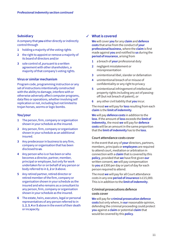#### **Subsidiary Injury** 3 and 3 and 3 and 3 and 3 and 3 and 3 and 3 and 3 and 3 and 3 and 3 and 3 and 3 and 3 and 3 and 3 and 3 and 3 and 3 and 3 and 3 and 3 and 3 and 3 and 3 and 3 and 3 and 3 and 3 and 3 and 3 and 3 and 3 and 3 and 3 a

A company that **you** either directly or indirectly control through

- **1** holding a majority of the voting rights
- **2** the right to appoint or remove a majority of its board of directors and/or
- **3** sole control of, pursuant to a written agreement with other shareholders, a majority of that company's voting rights.

#### **Virus or similar mechanism**

Program code, programming instruction or any set of instructions intentionally constructed with the ability to damage, interfere with or otherwise adversely affect computer programs, data files or operations, whether involving self replication or not, including but not limited to trojan horses, worms or logic bombs.

#### **You/your**

- **1** The person, firm, company or organisation shown in your schedule as the insured.
- **2** Any person, firm, company or organisation shown in your schedule as an additional insured.
- **3** Any predecessor in business to any firm, company or organisation that has been disclosed to **us**.
- **4** Any person who is or has been or who becomes a director, partner, member, principal or employee, but only for work undertaken for or on behalf of any person or body referred to in **1**, **2** or **3** above.
- **5** Any retired partner, retired director or retired member of the firm, company or organisation shown in your schedule as the insured and who remains as a consultant to any person, firm, company or organisation shown in your schedule as the insured.
- **6** The estate, heirs, executors, legal or personal representatives of any person referred to in **1**, **2**, **3**, **4** or **5** above in the event of their death or incapacity.

# **What is covered**

**We** will cover **you** for any **claim** and **defence costs** that arise from the conduct of **your professional business**, where the **claim** is first made against **you** and notified to **us** during the **period of insurance**, arising from

- **1** a breach of **your** professional duty
- **2** negligent misstatement or misrepresentation
- **3** unintentional libel, slander or defamation
- **4** unintentional breach of or misuse of confidentiality or any right to privacy
- **5** unintentional infringement of intellectual property rights including any act of passingoff (but not breach of patent), or
- **6** any other civil liability that **you** incur.

The most **we** will pay for **loss** resulting from each **claim** is the **limit of indemnity**.

**We** will pay **defence costs** in addition to the **loss**. If the amount of **loss** exceeds the **limit of indemnity**, the most **we** will pay for **defence costs** will be an amount in the same proportion that the **limit of indemnity** has to the **loss**.

#### **Court attendance costs cover**

In the event that any of **your** directors, partners, members, principals or **employees** are required to attend court, mediation or arbitration in connection with a **claim** that is covered by this **policy**, provided that **we** have first given **our** written consent, **we** will pay compensation to **you** at £300 per day or part of day for each person required to attend.

The most **we** will pay for all Court attendance costs in any one **period of insurance** is £15,000. This is in addition to the **limit of indemnity**.

# **Criminal prosecutions defence costs cover**

**We** will pay for **criminal prosecution defence costs** but only where, in **our** reasonable opinion, defending the criminal proceeding could protect **you** against a **claim** or potential **claim** that would be covered by this **policy**.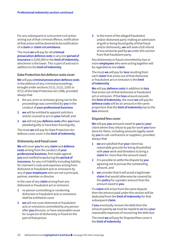For any subsequent or concurrent civil action arising out of that criminal offence, notification of that action will be deemed to be notification of a **claim** or **claim circumstance**.

The most **we** will pay for all **criminal prosecution defence costs** in any one **period of insurance** is £250,000 or the **limit of indemnity**, whichever is the lower. This is part of and not in addition to the **limit of indemnity**.

#### **Data Protection Act defence costs cover**

**We** will pay **criminal prosecution defence costs** in the defence of any criminal proceedings brought under sections 21(1), 21(2), 22(6) or 47(1) of the Data Protection Act 1998, provided always that

- **1** the act, error or omission giving rise to the proceedings was committed by **you** in the conduct of **your professional business**
- **2 we** will be entitled to appoint solicitors and/or counsel to act on **your** behalf, and
- **3 we** will not pay **defence costs** after **you** have pleaded guilty or have been found guilty.

The most **we** will pay for Data Protection Act defence costs cover is the **limit of indemnity**.

#### **Dishonesty and fraud cover**

**We** will cover **you** for any **claim** and **defence costs** arising from the conduct of **your professional business**, first made against **you** and notified to **us** during the **period of insurance**, for any civil liability including liability for claimant's costs and expenses arising from dishonest or fraudulent acts or omissions by any of **your employees** who are not a principal, partner, member or director.

In the case of any **claim** arising from any dishonest or fraudulent act or omission:

- **1** no person committing or condoning dishonest or fraudulent acts or omissions shall be entitled to cover
- **2 we** will not cover dishonest or fraudulent acts or omissions committed by any person after **you** discover, or have reasonable cause for suspicion of dishonesty or fraud on the part of that person

**3** in the event of the alleged fraudulent and/or dishonest party making an admission of guilt or being found guilty of that fraud and/or dishonesty, **we** will seek a full refund of any amounts paid by **us** under this section from that fraudulent party.

Any dishonesty or fraud committed by two or more **employees** who were acting together will be regarded as one **claim**.

The most **we** will pay for **loss** resulting from each **claim** that arises out of that dishonest or fraudulent act or omission is the **limit of indemnity**.

**We** will pay **defence costs** in addition to **loss** that arises out of that dishonest or fraudulent act or omission. If that **loss** amount exceeds the **limit of indemnity**, the most **we** will pay for **defence costs** will be an amount in the same proportion that the **limit of indemnity** has to the **loss** amount.

#### **Disputed fees cover**

**We** will pay **you** amounts owed to **you** by **your** client where they refuse to pay for work **you** have done for them, including amounts legally owed by **you** to sub-contractors or suppliers, provided always that

- **1 we** are satisfied that **your** client has reasonable grounds for being dissatisfied with **your** work and threatens to bring a **claim** for more than the amount owed
- **2** it is possible to settle the dispute by **you** agreeing not to pursue the outstanding amount, and
- **3 we** consider that it will avoid a legitimate **claim** that would otherwise be covered by this **policy** for a greater amount than the amount owed to **you**.

If a **claim** still arises from the same dispute then the amount paid under this section will be deducted from the **limit of indemnity** for that subsequent **claim**.

If **you** eventually recover the debt then the amount paid by **us** must be repaid to **us** less **your** reasonable expenses of recovering the debt due.

The most **we** will pay for Disputed fees cover is the **limit of indemnity**.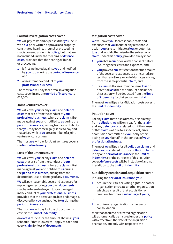#### **Formal investigation costs cover**

**We** will pay costs and expenses that **you** incur with **our** prior written approval at a properly constituted hearing, tribunal or proceeding that is covered under this **policy**, but that are not included under the meaning of **defence costs**, provided that the hearing, tribunal or proceeding

- **1** is first instigated against **you** and notified by **you** to **us** during the **period of insurance**, and
- **2** arises from the conduct of **your professional business**.

The most **we** will pay for Formal investigation costs cover in any one **period of insurance** is £25,000.

#### **Joint ventures cover**

**We** will cover **you** for any **claim** and **defence costs** that arise from the conduct of **your professional business**, where the **claim** is first made against **you** and notified to **us** during the **period of insurance**, arising from a civil liability that **you** may become legally liable to pay and that arises whilst **you** are a member of a joint venture or consortium.

The most **we** will pay for Joint ventures cover is the **limit of indemnity**.

#### **Loss of documents cover**

**We** will cover **you** for any **claim** and **defence costs** that arise from the conduct of **your professional business**, where the **claim** is first made against **you** and notified to **us** during the **period of insurance**, arising from the destruction, loss or damage of any **documents**.

**We** will pay reasonable costs and expenses for replacing or restoring **your** own **documents** that have been destroyed, lost or damaged in the conduct of **your professional business** provided that the destruction, loss or damage is discovered by **you** and notified to **us** during the **period of insurance**.

The most **we** will pay for Loss of documents cover is the **limit of indemnity**.

An **excess** of £500 (or the amount shown in **your** schedule if that is lower) will apply to each and every **claim** for loss of **documents**.

#### **Mitigation costs cover**

**We** will cover **you** for reasonable costs and expenses that **you** incur for any reasonable action **you** take to mitigate a **loss** or potential **loss** that would otherwise be the subject of a **claim** under this **policy**, provided always that

- **1 you** obtain **our** prior written consent before incurring these costs and expenses, and
- **2 you** prove to **our** satisfaction that the amount of the costs and expenses to be incurred are less than any likely award of damages arising from the same potential **claim**, and
- **3** if a **claim** still arises from the same **loss** or potential **loss** then the amount paid under this section will be deducted from the **limit of indemnity** for that subsequent **claim**.

The most **we** will pay for Mitigation costs cover is the **limit of indemnity**.

#### **Pollution cover**

For any **claim** that arises directly or indirectly from **pollution**, **we** will only pay for that **claim** and any **defence costs** related to it if the cause of that **claim** was due to a specific act, error or omission committed by **you**, or by others acting on **your** behalf, in the conduct of **your professional business**.

The most **we** will pay for all **pollution claims** and **defence costs** related to those **pollution claims** in any one **period of insurance** is the **limit of indemnity**. For the purposes of this Pollution cover, **defence costs** will be inclusive of and not in addition to the **limit of indemnity**.

#### **Subsidiary creation and acquisition cover**

#### If, during the **period of insurance**, **you**:

**1** acquire securities or voting rights in another organisation or create another organisation which, as a result of that acquisition or creation, becomes a **subsidiary** of **yours**,

or

**2** acquire any organisation by merger or consolidation

then that acquired or created organisation will automatically be insured under this **policy** with effect from the date of the acquisition or creation, but only with respect to the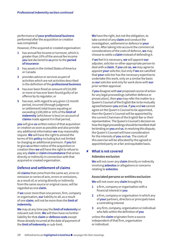performance of **your professional business** performed after the acquisition or creation was completed.

However, if the acquired or created organisation:

- **1** has annual fee income or turnover, which is greater than 10% of the annual fee income **you** last declared to **us** prior to the **period of insurance**
- **2** has assets in the United States of America or Canada
- **3** provides advice or services as part of activities which are not activities described in the definition of the **professional business**
- **4** has ever been fined an amount of £10,000 or more or has ever been found guilty of an offence by its regulator, or
- **5** has ever, with regard to any given 12 month period, incurred (through judgment or settlement) total losses equaling or exceeding £100,000 or 10% of the **limit of indemnity** (whichever is less) on account of **claims** made against it in that period,

**you** will give **us** written notice of that acquisition or creation as soon as possible and also provide any additional information **we** may reasonably require. **We** will have the right to amend the terms of this **policy** including but not limited to charging an additional premium. If **you** fail to give **us** written notice of the acquisition or creation then **we** will have the right to refuse to pay any **claim** or **claim circumstance** that arises directly or indirectly in connection with that acquired or created organisation.

# **Defence and settlement of claims**

All **claims** that come from the same act, error or omission or series of acts, errors or omissions, as a result of, or arising directly or indirectly from the same source or original cause, will be regarded as one **claim**.

If **we** cover more than one person, firm, company or organisation, **our** liability to all, as a result of one **claim**, will not be more than the **limit of indemnity**.

**We** may at any time pay the **limit of indemnity** or relevant sub-limit. **We** will then have no further liability for that **claim** or **defence costs** except those already incurred at the date of payment of the **limit of indemnity** or sub-limit.

**We** have the right, but not the obligation, to take control of any **claim** and conduct the investigation, settlement or defence in **your** name. After taking into account the commercial considerations of the costs of defence, **we** may choose to settle a **claim** instead of defending it.

If **we** feel it is necessary, **we** will appoint **our** adjuster, solicitor or other appropriate person to deal with a **claim**. If **you** ask **us**, **we** may agree to appoint **your** solicitor, but only if **we** are satisfied that **your** solicitor has the necessary expertise to undertake this work, only on a similar fee basis as **our** solicitor and only for work done with **our** prior written approval.

If **you** disagree with **our** proposed course of action for any legal proceedings (whether defence or prosecution), then **you** may refer the matter to a Queen's Counsel of the English Bar to be mutually agreed between **you** and **us**. If **you** and **we** cannot agree on the Queen's Counsel to be appointed, then the Queen's Counsel will be appointed by the current Chairman of the English Bar or their representative. The Queen's Counsel's decision on how the legal proceedings should be handled shall be binding on **you** and **us**. In resolving this dispute, the Queen's Counsel will have consideration for the interests of **you** and **us**. The costs of this exercise will be allocated by the agreed or appointed party on a fair and equitable basis.

# **What is not covered** 8

#### **Asbestos exclusion**

**We** will not cover any **claim** directly or indirectly involving **asbestos** or allegations or concerns relating to **asbestos**.

#### **Associated persons or entities exclusion**

**We** will not cover any **claim** brought by

- **1** a firm, company or organisation with a financial interest in **you**
- **2** a firm, company or organisation in which any of **your** partners, directors or principals have a controlling interest
- **3** any firm, company, organisation or individual who falls within the definition of **you**

unless the **claim** originates from a source independent of that firm, organisation or individual.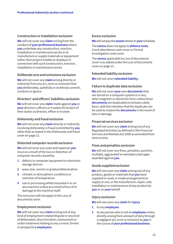#### **Construction or installation exclusion**

**We** will not cover any **claim** arising from the conduct of **your professional business** where **you** undertake any construction, erection, installation or maintenance works or to manufacture or supply materials or equipment (other than project models or displays) in connection with such construction, erection, installation or maintenance works.

# **Deliberate acts and omissions exclusion**

**We** will not cover any **claim** arising directly or indirectly from any act, error or omission that **you** deliberately, spitefully or recklessly commit, condone or ignore.

### **Directors' and officers' liabilities exclusion**

**We** will not cover any **claim** made against **you** or **your** directors, officers or trustees for breach of their duties as director, officer or trustee.

#### **Dishonesty and fraud exclusion**

**We** will not cover any **claim** directly or indirectly involving dishonesty or fraud committed by **you** other than as stated in the Dishonesty and fraud cover on page 12.

#### **Distorted computer records exclusion**

**We** will not cover any costs and expenses **you** incur as a result of the loss or distortion of computer records caused by

- **1** defects in computer equipment or electronic storage devices
- **2** wear, tear, vermin or gradual deterioration
- **3** climatic or atmospheric conditions or extremes of temperature
- **4** use or processing whilst mounted in or on any machine unless as a result of loss of or damage to the machine itself.

The exclusion will not apply to the Loss of documents cover.

#### **Employment exclusion**

**We** will not cover any **claim** arising out of any kind of employment related dispute or any kind of defamation, discrimination, harassment or unfair treatment relating to any current, former or prospective **employees**.

#### **Excess exclusion**

**We** will not pay the **excess** shown in **your** schedule.

The **excess** does not apply to **defence costs**, Court attendance costs cover or Formal investigation costs cover.

The **excess** applicable to Loss of documents cover is as stated under the Loss of documents cover on page 13.

#### **Extended liability exclusion**

**We** will not cover **extended liability**.

#### **Failure to duplicate data exclusion**

**We** will not cover **your** own **documents** that are stored on a computer system or in any other magnetic or electronic form unless those **documents** are duplicated on at least a daily basis, with the intention that the duplicate can be used to restore the **documents** in the event of loss or damage.

#### **Financial services exclusion**

**We** will not cover any **claim** arising out of any Regulated Activities as defined in the Financial Services and Markets Act 2000 as amended from time to time.

# **Fines and penalties exclusion**

**We** will not cover any fines, penalties, punitive, multiple, aggravated or exemplary damages awarded against **you**.

#### **Goods supplied exclusion**

**We** will not cover any **claim** arising out of any product, goods or materials that **you** have supplied or used, or made arrangements to supply or use, or the manufacture, repair, sale, installation or maintenance of any product by **you** or on **your** behalf.

#### **Injury exclusion**

**We** will not cover any **claim** for **injury**

- **1** to any **employee**
- **2** to any person who is not an **employee** unless directly arising from a breach of duty through a negligent act, error or omission by **you** in the course of **your professional business**.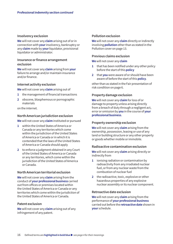#### **Insolvency exclusion**

**We** will not cover any **claim** arising out of or in connection with **your** insolvency, bankruptcy or any **claim** made by **your** liquidator, provisional liquidator or administrator.

#### **Insurance or finance arrangement exclusion**

**We** will not cover any **claim** arising from **your** failure to arrange and/or maintain insurance and/or finance.

#### **Internet activity exclusion**

**We** will not cover any **claim** arising out of

- **1** the management of financial transactions
- **2** obscene, blasphemous or pornographic materials

on the internet.

#### **North American jurisdiction exclusion**

**We** will not cover any **claim** instituted or pursued

- **1** within the United States of America or Canada or any territories which come within the jurisdiction of the United States of America or Canada or in which it is contended that the laws of the United States of America or Canada should apply
- **2** to enforce a judgment obtained in any Court of the United States of America or Canada or any territories, which come within the jurisdiction of the United States of America or Canada.

#### **North American territorial exclusion**

**We** will not cover any **claim** arising from the conduct of **your professional business** carried out from offices or premises located within the United States of America or Canada or any territories which come within the jurisdiction of the United States of America or Canada.

#### **Patent exclusion**

**We** will not cover any **claim** arising out of any infringement of any patent.

#### **Pollution exclusion**

**We** will not cover any **claim** directly or indirectly involving **pollution** other than as stated in the Pollution cover on page 13.

#### **Previous claims exclusion**

**We** will not cover any **claim**

- **1** that has been notified under any other policy before the start of this **policy**
- **2** that **you** were aware of or should have been aware of before the start of this **policy**.

other than as stated in the Fair presentation of risk condition on page 6.

#### **Property damage exclusion**

**We** will not cover any **claim** for loss of or damage to property unless arising directly from a breach of duty through a negligent act, error or omission by **you** in the course of **your professional business**.

#### **Property ownership exclusion**

**We** will not cover any **claim** arising from the ownership, possession, leasing or use of any land or building structure or any other property or goods whether mobile or immobile.

#### **Radioactive contamination exclusion**

**We** will not cover any **claim** arising directly or indirectly from

- **1** ionising radiation or contamination by radioactivity from any irradiated nuclear fuel, or from any nuclear waste from the combustion of nuclear fuel
- **2** the radioactive, toxic, explosive or other hazardous properties of any explosive nuclear assembly or its nuclear component.

#### **Retroactive date exclusion**

**We** will not cover any **claim** arising from the performance of **your professional business** carried out before the **retroactive date** shown in **your** schedule.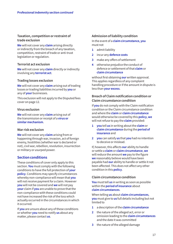# **Taxation, competition or restraint of trade exclusion**

**We** will not cover any **claim** arising directly or indirectly from the breach of any taxation, competition, restraint of trade or anti-trust legislation or regulation.

# **Terrorist act exclusion**

**We** will not cover any **claim** directly or indirectly involving any **terrorist act**.

#### **Trading losses exclusion**

**We** will not cover any **claim** arising out of trading losses or trading liabilities incurred by **you** or any of **your** businesses.

This exclusion will not apply to the Disputed fees cover on page 12.

#### **Virus exclusion**

**We** will not cover any **claim** arising out of the transmission or receipt of a **virus or similar mechanism**.

#### **War risk exclusion**

**We** will not cover any **claim** arising from or happening through war, invasion, act of foreign enemy, hostilities (whether war is declared or not), civil war, rebellion, revolution, insurrection or military or usurped power.

# **Section conditions**

These conditions of cover only apply to this section. **You** must comply with the following conditions to have the full protection of **your policy**. Conditions may specify circumstances whereby non-compliance will mean that **you** will not receive payment for a claim. However **you** will not be covered and **we** will not pay **your** claim if **you** are unable to prove that the non-compliance with these conditions could not have increased the risk of the loss which actually occurred in the circumstances in which it occurred.

If **you** are unsure about any of these conditions or whether **you** need to notify **us** about any matter, please contact **us**.

#### **Admission of liability condition**

In the event of a **claim circumstance, you** must not

- **1** admit liability
- **2** incur any **defence costs**
- **3** make any offers of settlement
- **4** otherwise prejudice the conduct of defence or settlement of that **claim** or **claim circumstance**

without first obtaining **our** written approval. This applies regardless of any complaint handling procedure or if the amount in dispute is less than **your excess**.

# **Breach of Claim notification condition or Claim circumstance condition**

If **you** do not comply with the Claim notification condition or the Claim circumstance condition and where the **claim** or **claim circumstance** would otherwise be covered by this **policy**, **we** will not refuse to pay the **claim** provided:

- **1 you** tell **us** in writing about the **claim** or **claim circumstance** during the **period of insurance** and
- **2 you** can satisfy **us** that **you** had no intention to deceive or mislead.

If, however, this affects **our** ability to handle or settle a **claim** or **claim circumstance**, **we** will reduce the amount **we** pay to the figure **we** reasonably believe would have been payable had **our** ability to handle or settle it not been affected. This does not affect any other condition in this **policy**.

#### **Claim circumstance condition**

**You** must tell **us** in writing as soon as possible within the **period of insurance** about **claim circumstances**.

When telling **us** about **claim circumstances**, **you** must give to **us** full details including but not limited to

- **1** a description of the **claim circumstance**
- **2** the nature of the alleged act, error or omission leading to the **claim circumstances** and the date it was committed
- **3** the nature of the alleged damage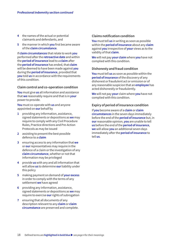- **4** the names of the actual or potential claimants and defendants, and
- **5** the manner in which **you** first became aware of the **claim circumstance**.

If **claim circumstances** that relate to work **you**  performed after the **retroactive date** and within the **period of insurance** lead to a **claim** after the **period of insurance** has ended, that **claim** will be deemed to have been made against **you** during the **period of insurance**, provided that **you** told **us** in accordance with the requirements of this condition.

#### **Claim control and co-operation condition**

**You** must give **us** all information and assistance that **we** reasonably require and that is in **your** power to provide.

**You** must co-operate with **us** and anyone appointed on **our** behalf by

- **1** providing any information, assistance, signed statements or depositions as **we** may require to comply with any Civil Procedure Rules, Practice directions and Pre-Action Protocols as may be issued
- **2** assisting to present the best possible defence to a **claim**
- **3** ensuring access to any information that **we** or **our** representatives may require in the defence of a claim or the investigation of any **claim circumstance**, whether or not that information may be privileged
- **4** provide **us** with any and all information that will allow **us** to determine **our** liability under this policy
- **5** making payment on demand of **your excess**  in order to comply with the terms of any settlement **we** have agreed
- **6** providing any information, assistance, signed statements or depositions as **we** may require to exercise **our** rights of subrogation
- **7** ensuring that all documents of any description relevant to any **claim** or **claim circumstance** are preserved and complete.

#### **Claims notification condition**

**You** must tell **us** in writing as soon as possible within the **period of insurance** about any **claim**  against **you** irrespective of **your** views as to the validity of that **claim**.

**We** will not pay **your claim** where **you** have not complied with this condition.

#### **Dishonesty and fraud condition**

**You** must tell **us** as soon as possible within the **period of insurance** of the discovery of any dishonest or fraudulent act or omission or of any reasonable suspicion that an **employee** has acted dishonestly or fraudulently.

**We** will not pay **your** claim where **you** have not complied with this condition.

#### **Expiry of period of insurance condition**

If **you** become aware of a **claim** or **claim circumstances** in the seven days immediately before the end of the **period of insurance** but, in **our** reasonable opinion, **you** are unable to tell **us** before the end of the **period of insurance**, **we** will allow **you** an additional seven days immediately after the **period of insurance** to tell **us**.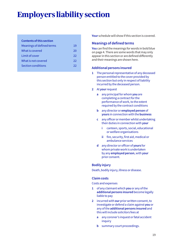# **Employers liability section**

# **Contents of this section**

| 19 |
|----|
| 20 |
| 22 |
| 22 |
| 22 |
|    |

**Your** schedule will show if this section is covered.

# **Meanings of defined terms**

**You** can find the meanings for words in bold blue on page 4. There are some words that may only appear in this section or are defined differently and their meanings are shown here.

# **Additional persons insured**

- **1** The personal representative of any deceased person entitled to the cover provided by this section but only in respect of liability incurred by the deceased person.
- **2** At **your** request
	- **a** any principal for whom **you** are completing a contract for the performance of work, to the extent required by the contract conditions
	- **b** any director or **employed person** of **yours** in connection with the **business**
	- **c** any officer or member whilst undertaking their duties in connection with **your**
		- **i** canteen, sports, social, educational or welfare organisations
		- **ii** fire, security, first aid, medical or ambulance services
	- **d** any director or officer of **yours** for whom private work is undertaken by any **employed person**, with **your** prior consent.

# **Bodily injury**

Death, bodily injury, illness or disease.

# **Claim costs**

Costs and expenses

- **1** of any claimant which **you** or any of the **additional persons insured** become legally liable to pay
- **2** incurred with **our** prior written consent, to investigate or defend a claim against **you** or any of the **additional persons insured** and this will include solicitors fees at
	- **a** any coroner's inquest or fatal accident inquiry
	- **b** summary court proceedings.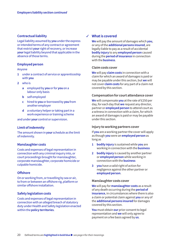#### **Contractual liability**

Legal liability assumed by **you** under the express or intended terms of any contract or agreement that restrict **your** right of recovery, or increase **your** legal liability beyond that applicable in the absence of those terms.

#### **Employed person**

#### Anyone

- **1** under a contract of service or apprenticeship with **you**
- **2** who is
	- **a** employed by **you** or for **you** on a labour only basis
	- **b** self employed
	- **c** hired to **you** or borrowed by **you** from another employer
	- **d** a voluntary helper or taking part in a work experience or training scheme

and under **your** control or supervision.

#### **Limit of indemnity**

The amount shown in **your** schedule as the limit of indemnity.

#### **Manslaughter costs**

Costs and expenses of legal representation in connection with any criminal inquiry into, or court proceedings brought for manslaughter, corporate manslaughter, corporate homicide or culpable homicide.

#### **Offshore**

On or working from, or travelling by sea or air, to from or between an offshore rig, platform or similar offshore installation.

#### **Safety legislation costs**

Costs and expenses of legal representation in connection with an alleged breach of statutory duty under Health and Safety legislation enacted within the **policy territories**.

# **What is covered** 3

**We** will pay the amount of damages which **you**, or any of the **additional persons insured**, are legally liable to pay as a result of accidental **bodily injury** to any **employed person** caused during the **period of insurance** in connection with the **business**.

#### **Claim costs cover**

**We** will pay **claim costs** in connection with a claim for which an award of damages is paid or may be payable under this section, but **we** will not cover **claim costs** for any part of a claim not covered by this section.

#### **Compensation for court attendance cover**

**We** will compensate **you** at the rate of £250 per day, for each day that **we** request any director, partner or **employed person** to attend court as a witness in connection with a claim, for which an award of damages is paid or may be payable under this section.

#### **Injury to working partners cover**

If **you** are a working partner the cover will apply as though **you** were an **employed person** as long as

- **1 bodily injury** is sustained while **you** are working in connection with the **business**
- **2 bodily injury** is caused by another partner or **employed person** while working in connection with the **business**
- **3 you** have a valid right of action for negligence against the other partner or **employed person**.

#### **Manslaughter costs cover**

**We** will pay for **manslaughter costs** as a result of any death occurring during the **period of insurance**, in circumstances where there is also a claim or potential claim against **you** or any of the **additional persons insured** for damages covered by this section.

**You** must obtain **our** prior consent to legal representation and **we** will only agree to payment on a fee basis agreed by **us**.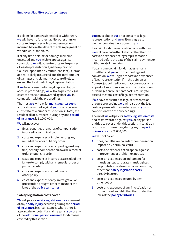If a claim for damages is settled or withdrawn, **we** will have no further liability other than for costs and expenses of legal representation incurred before the date of the claim payment or withdrawal of the claim.

If at any time a claim for damages remains unsettled and **you** wish to appeal against conviction, **we** will agree to costs and expenses of legal representation if, in the opinion of Counsel (appointed by mutual consent), such an appeal is likely to succeed and the total amount of damages and claimants costs are likely to exceed the total cost of legal representation.

If **we** have consented to legal representation at court proceedings, **we** will also pay the legal costs of prosecution awarded against **you** in connection with the proceedings.

The most **we** will pay for **manslaughter costs** and costs awarded against **you**, or any person entitled to cover under this section, in total, as a result of all occurrences, during any one **period of insurance**, is £1,000,000.

**We** will not cover

- **1** fines, penalties or awards of compensation imposed by a criminal court
- **2** costs and expenses of implementing any remedial order or publicity order
- **3** costs and expenses of an appeal against any fine, penalty, compensation award, remedial order or publicity order
- **4** costs and expenses incurred as a result of the failure to comply with any remedial order or publicity order
- **5** costs and expenses insured by any other policy
- **6** costs and expenses of any investigation or prosecution brought other than under the laws of the **policy territories**.

#### **Safety legislation costs cover**

**We** will pay for **safety legislation costs** as a result of any **bodily injury** occurring during the **period of insurance**, in circumstances where there is also a claim or potential claim against **you** or any of the **additional persons insured**, for damages covered by this section.

**You** must obtain **our** prior consent to legal representation and **we** will only agree to payment on a fee basis agreed by **us**.

If a claim for damages is settled or is withdrawn **we** will have no further liability other than for costs and expenses of legal representation incurred before the date of the claim payment or withdrawal of the claim.

If at any time a claim for damages remains unsettled and **you** wish to appeal against conviction, **we** will agree to costs and expenses of legal representation if, in the opinion of Counsel (appointed by mutual consent), such an appeal is likely to succeed and the total amount of damages and claimants costs are likely to exceed the total cost of legal representation.

If **we** have consented to legal representation at court proceedings, **we** will also pay the legal costs of prosecution awarded against **you** in connection with the proceedings.

The most **we** will pay for **safety legislation costs** and costs awarded against **you**, or any person entitled to cover under this section, in total, as a result of all occurrences, during any one **period of insurance**, is £1,000,000.

**We** will not cover

- **1** fines, penalties or awards of compensation imposed by a criminal court
- **2** costs and expenses of an appeal against improvement or prohibition notices
- **3** costs and expenses on indictment for manslaughter, corporate manslaughter, corporate homicide or culpable homicide, other than **safety legislation costs** already incurred
- **4** costs and expenses insured by any other policy
- **5** costs and expenses of any investigation or prosecution brought other than under the laws of the **policy territories**.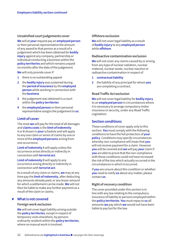#### **Unsatisfied court judgements cover**

**We** will at **your** request pay an **employed person** or their personal representative the amount of any award to that person as a result of a judgement which has been obtained for **bodily injury** against any company, partnership or individual conducting a business within the **policy territories** and which remains unpaid six months after the date of the judgement.

**We** will only provide cover if

- **1** there is no outstanding appeal
- **2** the **bodily injury** was sustained during the **period of insurance** by the **employed person** while working in connection with the **business**
- **3** the judgement was obtained in a court within the **policy territories**
- **4** the **employed person** or their personal representative assigns the judgement to **us**.

#### **Limit of cover**

The most **we** will pay for the total of all damages and **claims costs** is the **limit of indemnity** A or B shown in **your** schedule and will apply to any one claim or series of claims by one or more of the **employed persons** arising from one occurrence.

**Limit of indemnity** A will apply unless the occurrence arises directly or indirectly in connection with **terrorist act**.

**Limit of indemnity** B will apply to any occurrence arising directly or indirectly in connection with **terrorist act**.

As a result of any claim or claims, **we** may at any time pay the **limit of indemnity**, after deducting any amounts already paid, or any lesser amount for which a settlement can be made. **We** will not then be liable to make any further payment as a result of the claim or claims.

#### **What is not covered** 8

#### **Foreign work exclusion**

**We** will not cover legal liability arising outside the **policy territories**, except in respect of temporary visits elsewhere, by persons ordinarily resident within the **policy territories**, where no manual work is involved.

#### **Offshore exclusion**

**We** will not cover legal liability as a result of **bodily injury** to any **employed person** while **offshore**.

#### **Radioactive contamination exclusion**

**We** will not cover any claims caused by or arising from any type of nuclear radiation, nuclear material, nuclear waste, nuclear reaction or radioactive contamination in respect of

- **1 contractual liability**
- **2** the liability of any principal for whom **you** are completing a contract.

#### **Road Traffic Act exclusion**

**We** will not cover legal liability for **bodily injury** to an **employed person** in circumstances where it is necessary to arrange compulsory motor insurance or security, under any Road Traffic Legislation.

#### **Section conditions**

These conditions of cover apply only to this section. **You** must comply with the following conditions to have the full protection of **your policy**. Conditions may specify circumstances whereby non-compliance will mean that **you** will not receive payment for a claim. However **you** will be covered and **we** will pay **your** claim if **you** are able to prove that the non-compliance with these conditions could not have increased the risk of the loss which actually occurred in the circumstances in which it occurred.

If **you** are unsure about this condition or whether **you** need to notify **us** about any matter, please contact **us**.

#### **Right of recovery condition**

The cover provided under this section is in line with any law relating to the compulsory insurance of liability to persons employed within the **policy territories**. **You** must repay to **us** all amounts **we** pay which **we** would not have been liable to pay but for the law.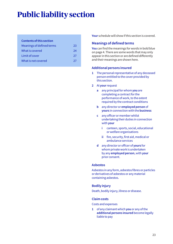# **Public liability section**

#### **Contents of this section**

| Meanings of defined terms | 23  |
|---------------------------|-----|
| What is covered           | 24  |
| Limit of cover            | -27 |
| What is not covered       | 27  |

**Your** schedule will show if this section is covered.

# **Meanings of defined terms**

**You** can find the meanings for words in bold blue on page 4. There are some words that may only appear in this section or are defined differently and their meanings are shown here.

# **Additional persons insured**

- **1** The personal representative of any deceased person entitled to the cover provided by this section.
- **2** At **your** request
	- **a** any principal for whom **you** are completing a contract for the performance of work, to the extent required by the contract conditions
	- **b** any director or **employed person** of **yours** in connection with the **business**
	- **c** any officer or member whilst undertaking their duties in connection with **your**
		- **i** canteen, sports, social, educational or welfare organisations
		- **ii** fire, security, first aid, medical or ambulance services
	- **d** any director or officer of **yours** for whom private work is undertaken by any **employed person**, with **your** prior consent.

# **Asbestos**

Asbestos in any form, asbestos fibres or particles or derivatives of asbestos or any material containing asbestos.

# **Bodily injury**

Death, bodily injury, illness or disease.

# **Claim costs**

Costs and expenses

**1** of any claimant which **you** or any of the **additional persons insured** become legally liable to pay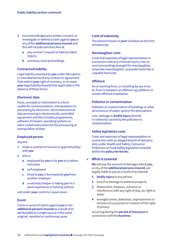- **2** incurred with **our** prior written consent, to investigate or defend a claim against **you** or any of the **additional persons insured** and this will include solicitors fees at
	- **a** any coroner's inquest or fatal accident inquiry
	- **b** summary court proceedings.

#### **Contractual liability**

Legal liability assumed by **you** under the express or intended terms of any contract or agreement that restrict **your** right of recovery, or increase **your** legal liability beyond that applicable in the absence of those terms.

#### **Electronic data**

Facts, concepts or information in a form usable for communications, interpretation or processing by electronic, electromechanical data processing or electronically controlled equipment and this includes programmes, software, firmware, operating systems or other coded instructions for the processing or manipulation of data.

#### **Employed person**

Anyone

- **1** under a contract of service or apprenticeship with **you**
- **2** who is
	- **a** employed by **you** or for **you** on a labour only basis
	- **b** self employed
	- **c** hired to **you** or borrowed by **you** from another employer
	- **d** a voluntary helper or taking part in a work experience or training scheme

and under **your** control or supervision.

#### **Event**

Claim or series of claims against **you** or the **additional persons insured** as a result of or attributable to a single source or the same original, repeated or continuing cause.

# **Limit of indemnity**

The amount shown in **your** schedule as the limit of indemnity.

#### **Manslaughter costs**

Costs and expenses of legal representation in connection with any criminal inquiry into, or court proceedings brought for manslaughter, corporate manslaughter, corporate homicide or culpable homicide.

#### **Offshore**

On or working from, or travelling by sea or air, to, from or between an offshore rig, platform or similar offshore installation.

#### **Pollution or contamination**

Pollution or contamination of buildings or other structures or of water, land or the atmosphere.

Loss, damage or **bodily injury** directly or indirectly caused by the pollution or contamination.

# **Safety legislation costs**

Costs and expenses of legal representation in connection with an alleged breach of statutory duty under Health and Safety, Consumer Protection or Food Safety legislation enacted within the **policy territories**.

# **What is covered** 3

**We** will pay the amount of damages which **you**, or any of the **additional persons insured**, are legally liable to pay as a result of accidental

- **1 bodily injury** to any person
- **2** loss of or damage to material property
- **3** obstruction, trespass, nuisance or interference with any right of way, air, light or water
- **4** wrongful arrest, detention, imprisonment or eviction of any person or invasion of the right of privacy

occurring during the **period of insurance** in connection with the **business**.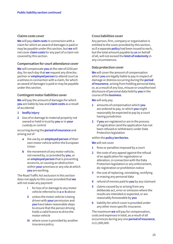#### **Claims costs cover**

**We** will pay **claim costs** in connection with a claim for which an award of damages is paid or may be payable under this section, but **we** will not cover **claim costs** for any part of a claim not covered by this section.

# **Compensation for court attendance cover**

**We** will compensate **you** at the rate of £250 per day, for each day that **we** request any director, partner or **employed person** to attend court as a witness in connection with a claim, for which an award of damages is paid or may be payable under this section.

# **Contingent motor liabilities cover**

**We** will pay the amount of damages for which **you** are liable by law and **claim costs** as a result of accidental

- **1 bodily injury**
- **2** loss of or damage to material property not owned or held in trust by **you** or in **your** custody or control

occurring during the **period of insurance** and arising out of

- **a** the use by an **employed person** of their own motor vehicle within the European Union
- **b** the movement of any motor vehicle, not owned by, or provided by **you**, or an **employed person** that is preventing access to, or causing an obstruction within **your** premises or any site at which **you** are working.

The Road Traffic Act exclusion in this section does not apply to this cover provided that **we** will not make any payment

- **i** for loss of or damage to any motor vehicle referred to in **a** or **b** above
- **ii** unless the motor vehicle is being driven with **your** permission and **you** have taken reasonable steps to ensure that the person driving holds a valid licence to drive the motor vehicle
- **iii** where cover is provided by another insurance policy.

# **Cross liabilities cover**

Any person, firm, company or organisation is entitled to the cover provided by this section, as if a separate **policy** had been issued to each, but the total amount payable by **us** on behalf of all, will not exceed the **limit of indemnity** in any circumstances.

#### **Data protection cover**

**We** will cover the amount of compensation which **you** are legally liable to pay in respect of damage or distress occurring during the **period of insurance**, arising from holding personal data, or, as a result of any loss, misuse or unauthorised disclosure of personal data held by **you** in the course of the **business**.

#### **We** will only pay

- **1** amounts of compensation which **you** are ordered to pay, or which **you** might reasonably be expected to pay by a court having jurisdiction
- **2** if **you** are registered or are in the process of registration (and the application has not been refused or withdrawn) under Data Protection legislation

#### within the **policy territories**.

#### **We** will not cover

- **1** fines or penalties imposed by a court
- **2** the costs of any appeal against the refusal of an application for registration or alteration, in connection with the Data Protection legislation or any enforcement, de-registration or prohibition notice
- **3** the cost of replacing, reinstating, rectifying or erasing any personal data
- **4** refund of monies paid to **you** by any claimant
- **5** claims caused by or arising from any deliberate act, error or omission where the results are intended or expected, or are reasonably foreseeable by **you**
- **6** liability for which cover is provided under any other more specific insurance.

The maximum **we** will pay for compensation, costs and expenses in total, as a result of all occurrences during any one **period of insurance**, is £1,000,000.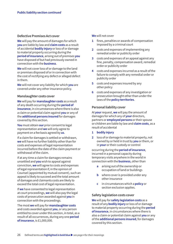#### **Defective Premises Act cover**

**We** will pay the amount of damages for which **you** are liable by law and **claim costs** as a result of accidental **bodily injury** or loss of or damage to material property occurring during the **period of insurance**, arising out of premises **you** have disposed of but had previously owned in connection with the **business**.

**We** will not cover loss of or damage to the land or premises disposed of or in connection with the cost of rectifying any defect or alleged defect in them.

**We** will not cover any liability for which **you** are covered under any other insurance policy.

#### **Manslaughter costs cover**

**We** will pay for **manslaughter costs** as a result of any death occurring during the **period of insurance**, in circumstances where there is also a claim or potential claim against **you** or any of the **additional persons insured** for damages covered by this section.

**You** must obtain **our** prior consent to legal representation and **we** will only agree to payment on a fee basis agreed by **us**.

If a claim for damages is settled or withdrawn, **we** will have no further liability other than for costs and expenses of legal representation incurred before the date of the claim payment or withdrawal of the claim.

If at any time a claim for damages remains unsettled and **you** wish to appeal against conviction, **we** will agree to costs and expenses of legal representation if, in the opinion of Counsel (appointed by mutual consent), such an appeal is likely to succeed and the total amount of damages and claimants costs are likely to exceed the total cost of legal representation.

If **we** have consented to legal representation at court proceedings, **we** will also pay the legal costs of prosecution awarded against **you** in connection with the proceedings.

The most **we** will pay for **manslaughter costs** and costs awarded against **you**, or any person entitled to cover under this section, in total, as a result of all occurrences, during any one **period of insurance**, is £1,000,000.

#### **We** will not cover

- **1** fines, penalties or awards of compensation imposed by a criminal court
- **2** costs and expenses of implementing any remedial order or publicity order
- **3** costs and expenses of an appeal against any fine, penalty, compensation award, remedial order or publicity order
- **4** costs and expenses incurred as a result of the failure to comply with any remedial order or publicity order
- **5** costs and expenses insured by any other policy
- **6** costs and expenses of any investigation or prosecution brought other than under the laws of the **policy territories**.

#### **Personal liability cover**

At **your** request, **we** will pay the amount of damages for which any of **your** directors, partners or **employed persons** or their spouse or children are liable by law and **claim costs**, as a result of accidental

- **1 bodily injury**
- **2** loss of or damage to material property, not owned by or held in trust by **you** or them, or in **your** or their custody or control

occurring during the **period of insurance**, incurred in a personal capacity during temporary visits anywhere in the world in connection with the **business**, other than

- **a** arising out of the ownership or occupation of land or buildings
- **b** where cover is provided under any other insurance
- **c** in circumstances which a **policy** or section exclusion applies.

#### **Safety legislation costs cover**

**We** will pay for **safety legislation costs** as a result of any **bodily injury** or loss of or damage to material property occurring during the **period of insurance**, in circumstances where there is also a claim or potential claim against **you** or any of the **additional persons insured**, for damages covered by this section.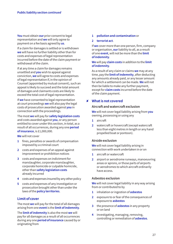**You** must obtain **our** prior consent to legal representation and **we** will only agree to payment on a fee basis agreed by **us**.

If a claim for damages is settled or is withdrawn **we** will have no further liability other than for costs and expenses of legal representation incurred before the date of the claim payment or withdrawal of the claim.

If at any time a claim for damages remains unsettled and **you** wish to appeal against conviction, **we** will agree to costs and expenses of legal representation if, in the opinion of Counsel (appointed by mutual consent), such an appeal is likely to succeed and the total amount of damages and claimants costs are likely to exceed the total cost of legal representation.

If **we** have consented to legal representation at court proceedings **we** will also pay the legal costs of prosecution awarded against **you** in connection with the proceedings.

The most **we** will pay for **safety legislation costs** and costs awarded against **you**, or any person entitled to cover under this section, in total, as a result of all occurrences, during any one **period of insurance**, is £1,000,000.

**We** will not cover

- **1** fines, penalties or awards of compensation imposed by a criminal court
- **2** costs and expenses of an appeal against improvement or prohibition notices
- **3** costs and expenses on indictment for manslaughter, corporate manslaughter, corporate homicide or culpable homicide, other than **safety legislation costs** already incurred
- **4** costs and expenses insured by any other policy
- **5** costs and expenses of any investigation or prosecution brought other than under the laws of the **policy territories**.

# **Limit of cover**

The most **we** will pay for the total of all damages arising from one **event** is the **limit of indemnity**.

The **limit of indemnity** is also the most **we** will pay for all damages as a result of all occurrences during any one **period ofinsurance** caused by or originating from

#### **1 pollution and contamination** or

#### **2 terrorist act**.

If **we** cover more than one person, firm, company or organisation, **our** liability to all, as a result of one **event**, will not be more than the **limit of indemnity**.

#### **We** will pay **claim costs** in addition to the **limit of indemnity**.

As a result of any claim or claims **we** may at any time, pay the **limit of indemnity**, after deducting any amounts already paid, or any lesser amount for which a settlement can be made. **We** will not then be liable to make any further payment, except for **claim costs** incurred before the date of the claim payment.

# **What is not covered** 8

#### **Aircraft and watercraft exclusion**

**We** will not cover legal liability arising from **you** owning, possessing or using any

- **1** aircraft
- **2** watercraft or hovercraft (except watercraft less than eight metres in length or any hand propelled boat or pontoon).

# **Airside exclusion**

**We** will not cover legal liability arising in connection with work undertaken in or on

- **1** aircraft or watercraft
- **2** airport or aerodrome runways, manoeuvring areas or aprons, or those parts of airports or aerodromes to which aircraft ordinarily have access.

#### **Asbestos exclusion**

**We** will not cover legal liability in any way arising from or contributed to by

- **1** inhalation or ingestion of **asbestos**
- **2** exposure to or fear of the consequences of exposure to **asbestos**
- **3** the presence of **asbestos** in any property or on land
- **4** investigating, managing, removing, controlling or remediation of **asbestos**.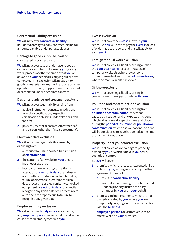#### **Contractual liability exclusion**

**We** will not cover **contractual liability**, liquidated damages or any contractual fines or amounts payable under penalty clauses.

#### **Damage to goods supplied, own or completed works exclusion**

**We** will not cover loss of or damage to goods or materials supplied or for use by **you**, or any work, process or other operation that **you** or anyone on **your** behalf are carrying out or have completed. This exclusion will not apply to goods or materials or any work, process or other operation previously supplied, used, carried out or completed under a separate contract.

#### **Design and advice and treatment exclusion**

**We** will not cover legal liability arising from

- **1** advice, instruction, consultancy, design, formula, specification, inspection, certification or testing undertaken or given for a fee
- **2** physical, mental or cosmetic treatment of any person (other than first aid treatment).

#### **Electronic data exclusion**

**We** will not cover legal liability caused by or arising from

- **1** authorised or unauthorised transmission of **electronic data**
- **2** the content of any website, **your** email, intranet or extranet
- **3** loss, distortion, erasure, corruption or alteration of **electronic data** or any loss of use resulting in reduction of functionality, failure of electronic, electromechanical data processing or electronically controlled equipment or **electronic data** to correctly recognise any given date or to process data or to operate properly due to failure to recognise any given date.

#### **Employee injury exclusion**

**We** will not cover **bodily injury** sustained by any **employed persons** arising out of and in the course of their employment with **you**.

#### **Excess exclusion**

**We** will not cover the **excess** shown in **your** schedule. **You** will have to pay the **excess** for loss of or damage to property and this will apply to each **event**.

#### **Foreign manual work exclusion**

**We** will not cover legal liability arising outside the **policy territories**, except in respect of temporary visits elsewhere, by persons ordinarily resident within the **policy territories**, where no manual work is involved.

#### **Offshore exclusion**

**We** will not cover legal liability arising in connection with any person while **offshore**.

#### **Pollution and contamination exclusion**

**We** will not cover legal liability arising from **pollution or contamination**, other than caused by a sudden and unexpected incident which takes place at a specific time and place during the **period of insurance**. All **pollution or contamination** which arises out of one incident will be considered to have happened at the time the incident takes place.

#### **Property under your control exclusion**

**We** will not cover loss or damage to property owned by **you** or which is held in **your** care, custody or control.

But **we** will cover

- **1** premises which are leased, let, rented, hired or lent to **you**, as long as a tenancy or other agreement does not
	- **a** result in **contractual liability**
	- **b** say that loss or damage must be insured under a property insurance policy arranged by **you** or on **your** behalf
- **2** premises including contents which are not owned or rented by **you**, where **you** are temporarily carrying out work in connection with the **business**
- **3 employed persons** or visitors vehicles or effects while on **your** premises.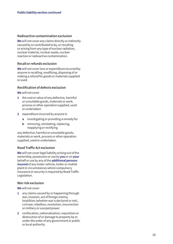#### **Radioactive contamination exclusion**

**We** will not cover any claims directly or indirectly caused by or contributed to by, or resulting or arising from any type of nuclear radiation, nuclear material, nuclear waste, nuclear reaction or radioactive contamination.

# **Recall or refunds exclusion**

**We** will not cover loss or expenditure incurred by anyone in recalling, modifying, disposing of or making a refund for goods or materials supplied or used.

# **Rectification of defects exclusion**

**We** will not cover

- **1** the cost or value of any defective, harmful or unsuitable goods, materials or work, process or other operation supplied, used or undertaken
- **2** expenditure incurred by anyone in
	- **a** investigating or providing a remedy for
	- **b** removing, reinstating, replacing, reapplying or rectifying

any defective, harmful or unsuitable goods, materials or work, process or other operation supplied, used or undertaken.

# **Road Traffic Act exclusion**

**We** will not cover legal liability arising out of the ownership, possession or use by **you** or on **your** behalf or use by any of the **additional persons insured** of any motor vehicle, trailer or mobile plant in circumstances where compulsory insurance or security is required by Road Traffic Legislation.

# **War risk exclusion**

**We** will not cover

- **1** any claims caused by or happening through war, invasion, act of foreign enemy, hostilities (whether war is declared or not), civil war, rebellion, revolution, insurrection or military or usurped power
- **2** confiscation, nationalisation, requisition or destruction of or damage to property by or under the order of any government or public or local authority.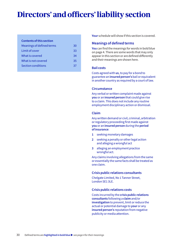# **Directors' and officers' liability section**

#### **Contents of this section**

| Meanings of defined terms<br>30 |  |
|---------------------------------|--|
| Limit of cover<br>33            |  |
| What is covered<br>34           |  |
| What is not covered<br>35       |  |
| Section conditions<br>37        |  |

**Your** schedule will show if this section is covered.

# **Meanings of defined terms**

**You** can find the meanings for words in bold blue on page 4. There are some words that may only appear in this section or are defined differently and their meanings are shown here.

#### **Bail costs**

Costs agreed with **us**, to pay for a bond to guarantee an **insured person's** bail or equivalent in another country as required by a court of law.

#### **Circumstance**

Any verbal or written complaint made against **you** or an **insured person** that could give rise to a claim. This does not include any routine employment disciplinary action or dismissal.

#### **Claim**

Any written demand or civil, criminal, arbitration or regulatory proceeding first made against **you** or an **insured person** during the **period of insurance**:

- **1** seeking monetary damages
- **2** seeking a penalty or other legal action and alleging a wrongful act
- **3** alleging an employment practice wrongful act.

Any claims involving allegations from the same or essentially the same facts shall be treated as one claim.

# **Crisis public relations consultants**

Chelgate Limited, No 1 Tanner Street, London SE1 3LE.

#### **Crisis public relations costs**

Costs incurred by the **crisis public relations consultants** following a **claim** and/or **investigation** to prevent, limit or reduce the actual or potential damage to **your** or any **insured person's** reputation from negative publicity or media attention.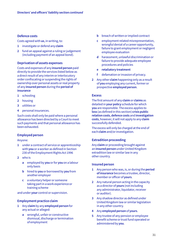#### **Defence costs**

Costs agreed with **us**, in writing, to:

- **1** investigate or defend any **claim**
- **2** fund an appeal against a ruling or judgement (including payment of an appeal bond).

### **Deprivation of assets expenses**

Costs and expenses of any **insured person** paid directly to provide the services listed below as a direct result of any interim or interlocutory order confiscating or suspending the rights of ownership over personal assets or real property of any **insured person** during the **period of insurance**

- **1** schooling
- **2** housing
- **3** utilities or
- **4** personal insurances.

Such costs shall only be paid where a personal allowance has been directed by a Court to meet such payments and that personal allowance has been exhausted.

#### **Employed person**

Anyone:

- **1** under a contract of service or apprenticeship with **you** or a worker as defined in Section 230 of the Employment Rights Act 1996
- **2** who is
	- **a** employed by **you** or for **you** on a labour only basis
	- **b** hired to **you** or borrowed by **you** from another employer
	- **c** a voluntary helper or someone taking part in a work experience or training scheme

and under **your** control or supervision.

# **Employment practice claim**

- **1** Any **claim** by any **employed person** for any actual or alleged:
	- **a** wrongful, unfair or constructive dismissal, discharge or termination of employment
- **b** breach of written or implied contract
- **c** employment related misrepresentation, wrongful denial of a career opportunity, failure to grant employment or negligent employee evaluation
- **d** harassment, unlawful discrimination or failure to provide adequate employee procedures and policies
- **e retaliatory treatment**
- **f** defamation or invasion of privacy.
- **2** Any other **claim** happening only as a result of **you** employing any current, former or prospective **employed person**.

#### **Excess**

The first amount of any **claim** or **claims** as detailed in **your policy** schedule for which **you** are responsible. The excess applies to **loss** (as defined in this section) **crisis public relation costs**, **defence costs** and **investigation costs**, however, it will not apply to any **claim** successfully defended.

The excess will only be charged at the end of each **claim** and/or investigation.

# **Extradition proceeding**

Any **claim** or proceeding brought against an **insured person** under United Kingdom extradition law or similar law in any other country.

#### **Insured person**

- **1** Any person who was, is, or during the **period of insurance** becomes a trustee, director, member or officer of **yours**.
- **2** Any natural person acting in the capacity as a director of **yours** (not including any administrator, liquidator, receiver or auditor).
- **3** Any shadow director as defined under United Kingdom law or similar legislation in any other country.
- **4** Any **employed person** of **yours**.
- **5** Any trustee of any pension or employee benefit scheme or trust fund operated or administered by **you**.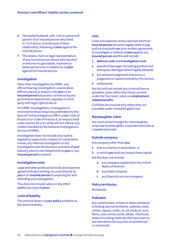- **6** The lawful husband, wife, civil or unmarried partner of an insured person described in 1 to 5 above, only because of their relationship, following a **claim** against the insured person.
- **7** The estates, heirs or legal representatives of any insured person above who has died or become incapacitated, insolvent or bankrupt but only in relation to a **claim** against the insured person.

#### **Investigation**

Other than investigations by HMRC, any official hearing, investigation, examination, official enquiry or enquiry into **your** or an **insured person's** business carried out by any government department, regulator or third party with legal rights to do so.

For HMRC investigations, investigation is restricted to those enquiries undertaken by the Special Civil Investigations Office under Code of Practice 8 or Code of Practice 9, an enquiry held under section 60 or 61 of the VAT Act 1994 or any matters handled by the National Investigations Service of HMRC.

Investigation does not include any routine regulatory supervision, enquiry or compliance review, any internal investigation or any investigation into the business activities of **your** industry which is not related only to **your** or any **insured person's** conduct.

#### **Investigation costs**

Legal and other professional costs and expenses agreed with **us** in writing, incurred directly by **you** or an **insured person** in preparing for and attending any investigation.

This does not include salary or any other additional costs of **yours**.

#### **Limit of liability**

The amount shown in **your policy** schedule as the limit of liability.

#### **Loss**

Costs and expenses of any claimant which an **insured person** becomes legally liable to pay and incurred with **our** prior written agreement, to investigate or defend a **claim** against any **insured person** and this will include

- **1 defence costs** and **investigation costs**
- **2** awards of damages (including punitive and exemplary damages where legally allowed)
- **3** pre and post judgement interest on a judgement or award covered by this section
- **4** settlements

but this will not include any criminal fines or penalties, taxes (other than those covered under the Tax cover), salary or **employment related benefits**.

Civil fines are covered only where they are insurable under United Kingdom law.

#### **Manslaughter claim**

Any court action brought for manslaughter, corporate manslaughter, corporate homicide or culpable homicide.

#### **Outside company**

Any company other than **you**:

- **1** that is a charity or association, or
- **2** in which **you** hold any issued share capital

but this does not include

- **a** any company registered in the United States of America
- **b** any listed company
- **c** any financial services company.

#### **Policy territories**

Worldwide.

#### **Pollutant**

Any contaminant, irritant or other substance including, but not limited to: asbestos, lead, smoke, vapour, water, oil, oil products, dust, fibres, soot, fumes, acids, alkalis, chemicals, waste (including materials that have been or are intended to be recycled, reconditioned or reclaimed).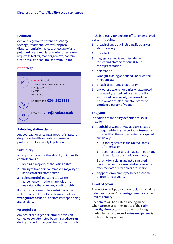#### **Pollution**

Actual, alleged or threatened discharge, seepage, treatment, removal, disposal, dispersal, emission, release or escape of any **pollutant** or any regulatory order, direction or request to test for, monitor, remove, contain, treat, detoxify, or neutralise any **pollutant**.

# **rradar legal**

◙

 $\boxed{\boxtimes}$ 

**rradar** Limited 13 Waterside Business Park Livingstone Road Hessle HU13 0EG

Enquiry line: **0844 543 6111**

Email: **advice@rradar.co.uk**

# **Safety legislation claim**

Any court action alleging a breach of statutory duty under health and safety, consumer protection or food safety legislation.

# **Subsidiary**

A company that **you** either directly or indirectly control through

- **1** holding a majority of the voting rights
- **2** the right to appoint or remove a majority of its board of directors and/or
- **3** sole control of, pursuant to a written agreement with other shareholders, a majority of that company's voting rights.

If a company ceases to be a subsidiary cover will continue but only for a **claim** caused by a **wrongful act** carried out before it stopped being a subsidiary.

# **Wrongful act**

Any actual or alleged act, error or omission carried out or attempted by an **insured person** during the performance of their duties but only in their role as **your** director, officer or **employed person** including:

- **1** breach of any duty, including fiduciary or statutory duty
- **2** breach of trust
- **3** negligence, negligent misstatement, misleading statement or negligent misrepresentation
- **4** defamation
- **5** wrongful trading as defined under United Kingdom law
- **6** breach of warranty or authority
- **7** any other act, error or omission attempted or allegedly carried out or attempted by an **insured person** only because of their position as a trustee, director, officer or **employed person** of **yours**.

#### **You/your**

In addition to the policy definition this will include:

- **1** a **subsidiary**, and any **subsidiary** created or acquired during the **period of insurance** provided that the newly created or acquired subsidiary:
	- **a** is not registered in the United States of America; or
	- **b** does not trade any of its securities on any United States of America exchange;

But only for a **claim** against an **insured person** caused by a **wrongful act** carried out after the date of creation or acquisition.

**2** any pension or employee benefit scheme or trust fund of yours.

# **Limit of cover**

The most **we** will pay for any one **claim** including **defence costs** and/or**investigation costs** is the **limit of liability**.

Each **claim** will be treated as being made when **we** receive written notice of the **claim**. **Investigation costs** will be treated as being made when attendance of an **insured person** is notified as being required.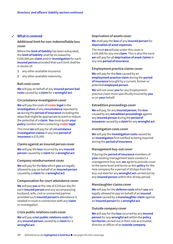### **What is covered**

### **Additional limit for non-indemnifiable loss cover**

Where the **limit of liability** has been exhausted, the **limit of liability** shall be increased by £100,000 per **claim** and/or **investigation** for each **insured person** provided that such limit shall be in excess of:

- **1** any other available insurance
- **2** any other available indemnity.

#### **Bail costs cover**

**We** will pay on behalf of any **insured person bail costs** caused by a **claim** for a **wrongful act**.

#### **Circumstance investigation cover**

**We** will pay the costs of **rradar legal** in the **investigation** of any **circumstance** reported to **us** during the **period of insurance** including the steps that might be appropriate to avert or reduce the potential of a **claim**. **You** must quote **your policy** number when contacting **rradar legal**.

The most **we** will pay for all **circumstance investigation claims** in any one **period of insurance** is £25,000.

#### **Claims against an insured person cover**

**We** will pay the **loss** incurred by any **insured person** caused by a **claim** for a **wrongful act**.

#### **Company reimbursement cover**

**We** will pay for the **loss** which **you** are legally allowed to pay on behalf of an **insured person** caused by a **claim** for a **wrongful act**.

#### **Compensation for court attendance cover**

**We** will pay **you** at the rate of £250 per day for each **insured person** and any accompanying husband, wife, civil or unmarried partner provided such **insured person's** attendance is needed in court in connection with any **claim** or investigation.

#### **Crisis public relations costs cover**

**We** will pay **crisis public relations costs** for any **insured person** caused by a **claim** for a **wrongful act**.

#### 3 **Deprivation of assets cover**

**We** shall pay the **loss** of any **insured person** for **deprivation of asset expenses**.

The most **we** will pay under this cover is £100,000 for any one **claim**. This is also the most **we** will pay for all **deprivation of asset claims** in any one **period of insurance**.

#### **Employment practice claims cover**

**We** will pay for the **loss** caused by an **employment practice claim** during the **period of insurance** brought by a current, former or potential **employed person**.

**We** will not cover **you** for any Employment practice claim more specifically insured by **you** or on **your** behalf.

#### **Extradition proceedings cover**

**We** will pay, for any **insured person**, the **loss** caused by any **extradition proceedings** against any **insured person** during the **period of insurance** caused by a **claim** for any **wrongful act**.

#### **Investigation costs cover**

**We** will pay the **investigation costs** caused by an **investigation** first notified as being required during the **period of insurance**.

#### **Management buy-out cover**

If during the **period of insurance** members of **your** existing management team conduct a management buy-out, **we** agree to provide cover to the same level and terms as this **policy** for the new company for a period of 30 days from the buy-out date for any **wrongful act** carried out by any **insured person** within this 30 day period.

#### **Manslaughter claims cover**

**We** will pay for the **defence costs** which **you** are legally allowed to pay on behalf of an **insured person** caused by a **manslaughter claim** against an **insured person** for a **wrongful act**.

#### **Outside company cover**

**We** will pay for the **loss** incurred by any **insured person** for any **wrongful act** within the **policy territories** carried out in their role as a trustee, director or officer of an **outside company**.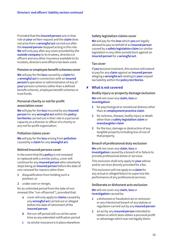Provided that the **insured person** acts in that role at **your** written request and the **claim** does not arise from a **wrongful act** carried out after the **insured person** stopped acting in this role. **We** will only pay after any cover provided by the **outside company** to its trustees, directors or officers and any other insurance available to its trustees, directors and officers has been used.

#### **Pension or employee benefit schemes cover**

**We** will pay for the **loss** caused by a **claim** for a **wrongful act** in connection with an **insured person's** operation or administration of any of **your** pension schemes (other than a defined benefit scheme), employee benefit schemes or trust funds.

# **Personal charity or not for profit association cover**

**We** will pay for the **loss** incurred by any **insured person** for any **wrongful act** within the **policy territories** carried out in their role in a personal capacity as a director or officer of a charity or any not for profit organisation.

# **Pollution claims cover**

**We** will pay for the **loss** arising from **pollution** caused by a **claim** for any **wrongful act**.

# **Retired insured persons cover**

In the event that this **policy** is not renewed or replaced with a similar policy, cover will continue for any **insured person** who voluntarily stops being an **insured person** before the date of non-renewal for reasons other than:

- **1** disqualification from holding such a position; or
- **2** a take-over or merger,

for an unlimited period from the date of non renewal (the "run-off period"), provided that:

- **a** cover will only apply to **claims** caused by any **wrongful act** carried out or alleged before the date of retirement of the **insured person**
- **b** the run-off period will run at the same time as any extended notification period
- **c** no similar insurance is in place elsewhere.

### **Safety legislation claims cover**

**We** will pay for the **loss** which **you** are legally allowed to pay on behalf of an **insured person** caused by a **safety legislation claim** (or similar legislation in any other jurisdiction) against an **insured person** for a **wrongful act**.

#### **Tax cover**

If **you** become insolvent, this section will extend to pay for any **claim** against an **insured person** alleging a **wrongful act** relating to **your** unpaid tax liability within the **policy territories**.

# **What is not covered** 8

#### **Bodily injury or property damage exclusion**

**We** will not cover any **claim**, **loss** or **investigation**:

- **1** for psychological or emotional distress other than an **employment practice claim**
- **2** for sickness, disease, bodily injury or death other than a **safety legislation claim** or **manslaughter claim**
- **3** for the loss, damage or destruction of any tangible property including loss of use of that property.

# **Breach of professional duty exclusion**

**We** will not cover any **claim**, **loss** or **investigation** caused by a breach of or failure to provide professional duties or services.

This exclusion shall only apply to **your** advice and/or services directly provided for a fee.

This exclusion will not apply to a **claim** for any actual or alleged failure to supervise the performance of any professional services.

#### **Deliberate or dishonest acts exclusion**

**We** will not cover any **claim**, **loss** or **investigation** caused by:

- **1** a dishonest or fraudulent act or omission or any intentional breach of any statute or regulation carried out by any **insured person**
- **2** an act by any **insured person** intended to obtain or which does obtain a personal profit or advantage which was not legally theirs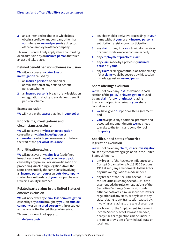**3** an act intended to obtain or which does obtain a profit for any company other than **you** where an **insured person** is a director, officer or employee of that company.

This exclusion will only apply after a court ruling or an admission by an **insured person** that such an act did take place.

#### **Defined benefit pension schemes exclusion**

**We** will not cover any **claim**, **loss** or **investigation** caused by:

- **1** an **insured person's** operation or administration of any defined benefit pension scheme
- **2** an **insured person's** breach of any legislation or regulation relating to any defined benefit pension scheme.

#### **Excess exclusion**

**We** will not pay the **excess** detailed in **your policy**.

#### **Prior claims, investigations and circumstances exclusion**

**We** will not cover any **loss** or **investigation** caused by any **claim**, **investigation** or **circumstance** which **you** were aware of before the start of the **period of insurance**.

#### **Prior litigation exclusion**

**We** will not cover any **claim**, **loss** (as defined in each section of the **policy**) or **investigation** caused by any previous or known litigation or proceedings (including allegations from the same or essentially the same facts) involving an **insured person**, **you** or an **outside company** started before the date of **your** first purchase of Officers Liability insurance.

#### **Related party claims in the United States of America exclusion**

**We** will not cover any **claim**, **loss** or **investigation** caused by any **claim** brought by **you**, an **outside company** or an **insured person** within or subject to the laws of the United States of America.

This exclusion will not apply to:

**1 defence costs**

- **2** any shareholder derivative proceedings in **your** name without **your** or any **insured person's** solicitation, assistance or participation
- **3** any **claim** brought by **your** liquidator, receiver or administrative receiver or similar body
- **4** any **employment practices claim**
- **5** any **claim** made by a previously **insured person** of **yours**
- **6** any **claim** seeking a contribution or indemnity if that **claim** would be covered by this section if made against an **insured person**.

#### **Share offerings exclusion**

**We** will not cover any **loss** (as defined in each section of the **policy**) or **investigation** caused by any **claim** for a **wrongful act** relating to any actual public offering of **your** share capital unless:

- **1 we** have given **our** prior written agreement; and
- **2 you** have paid any additional premium and accepted any amendments **we** may need to make to the terms and conditions of this **policy**.

# **Specific United States of America legislation exclusion**

**We** will not cover any **claim**, **loss** or **investigation** caused by the following legislation in the United States of America:

- **1** any breach of the Racketeer Influenced and Corrupt Organizations Act 18 USC Sections 1961 et seq., any amendments to this Act or any rules or regulations made under it
- **2** any breach of the Securities Act of 1933 or the Securities Exchange Act of 1934, both as amended, the rules or regulations of the Securities Exchange Commission under either or both Acts, similar securities laws or regulations of any state, or any laws of any state relating to any transaction caused by, involving or relating to the sale of securities
- **3** any breach of the Employment Retirement Income Security Act of 1974 as amended, or any rules or regulations made under it, or similar provisions of any federal, state or local law.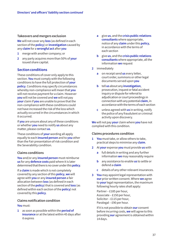#### **Takeovers and mergers exclusion**

**We** will not cover any **loss** (as defined in each section of the **policy**) or **investigation** caused by any **claim** for a **wrongful act** after **you**

- **1** merge with another company; or
- **2** any party acquires more than 50% of **your** issued share capital.

# **Section conditions**

These conditions of cover only apply to this section. **You** must comply with the following conditions to have the full protection of **your policy**. Conditions may specify circumstances whereby non-compliance will mean that **you** will not receive payment for a claim. However **you** will not be covered and **we** will not pay **your** claim if **you** are unable to prove that the non-compliance with these conditions could not have increased the risk of the loss which actually occurred in the circumstances in which it occurred.

If **you** are unsure about any of these conditions or whether **you** need to notify **us** about any matter, please contact **us**.

These conditions of **your** wording all apply equally to each **insured person** and to **you** other than the Fair presentation of risk condition and the Severability condition.

# **Claims conditions**

**You** and/or any **insured person** must reimburse **us** for any **defence costs** paid where it is later determined that there is no cover under this **policy**.

If a **claim** is made which is not completely covered by any section of this **policy**, **we** will agree with **you** or any **insured person** a fair allocation between **loss** (as defined in each section of the **policy**) that is covered and **loss** (as defined within each section of the **policy**) not covered by this **policy**.

#### **Claims notification condition**

#### **You** must:

**1** as soon as possible within the **period of insurance** or at the latest within 45 days after it expires

- **a** give **us**, and the **crisis public relations consultants** where appropriate, notice of any **claim** under this **policy**, in accordance with the terms of each section
- **b** give **us**, and the **crisis public relations consultants** where appropriate, all the information **we** request
- **2** immediately
	- **a** on receipt send **us** every letter, court order, summons or other legal documents served upon **you**
	- **b** tell **us** about any **investigation**, prosecution, inquest or fatal accident inquiry or dispute for referral to adjudication or court proceedings in connection with any potential **claim**, in accordance with the terms of each section
	- **c** unless agreed with **us** in writing, notify the police of any fraudulent or criminal activity upon discovery.

**We** will not pay **your** claim where **you** have not complied with this condition.

#### **Claims procedures condition**

- **1 You** must take, or allow others to take, practical steps to minimise any **claim**.
- **2** At **your** expense **you** must provide **us** with
	- **a** full details in writing and any further information **we** may reasonably require
	- **b** any assistance to enable **us** to settle or defend a **claim**
	- **c** details of any other relevant insurances.
- **3 You** may appoint legal representation with **our** prior written consent. Where **we** agree to **your** legal representation, the maximum following hourly rates shall apply:

Partner – £185 per hour, Associate – £150 per hour, Solicitor – £115 per hour, Paralegal – £90 per hour.

If it is not possible to obtain **our** consent before incurring costs, **we** will agree to this providing **our** agreement is obtained within 14 days.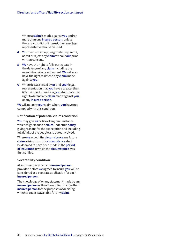Where a **claim** is made against **you** and/or more than one **insured person**, unless there is a conflict of interest, the same legal representative should be used.

- **4 You** must not accept, negotiate, pay, settle, admit or reject any **claim** without **our** prior written consent.
- **5 We** have the right to fully participate in the defence of any **claim** including the negotiation of any settlement. **We** will also have the right to defend any **claim** made against **you**.
- **6** Where it is assessed by **us** and **your** legal representation that **you** have a greater than 60% prospect of success, **you** shall have the right to defend any **claim** made against **you** or any **insured person**.

**We** will not pay **your** claim where **you** have not complied with this condition.

#### **Notification of potential claims condition**

**You** may give **us** notice of any circumstance which might lead to a **claim** under this **policy** giving reasons for the expectation and including full details of the people and dates involved.

Where **we** accept the **circumstance** any future **claim** arising from this **circumstance** shall be deemed to have been made in the **period of insurance** in which the **circumstance** was first notified.

#### **Severability condition**

All information which any **insured person** provided before **we** agreed to insure **you** will be considered as a separate application for each **insured person**.

The knowledge of or any statement made by any **insured person** will not be applied to any other **insured person** for the purposes of deciding whether cover is available for any **claim**.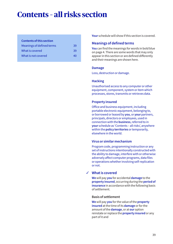# **Contents – all risks section**

#### **Contents of this section**

| Meanings of defined terms | 39  |
|---------------------------|-----|
| What is covered           | -39 |
| What is not covered       | 40  |

**Your** schedule will show if this section is covered.

# **Meanings of defined terms**

**You** can find the meanings for words in bold blue on page 4. There are some words that may only appear in this section or are defined differently and their meanings are shown here.

# **Damage**

Loss, destruction or damage.

# **Hacking**

Unauthorised access to any computer or other equipment, component, system or item which processes, stores, transmits or retrieves data.

# **Property insured**

Office and business equipment, including portable electronic equipment, belonging to, or borrowed or leased by **you**, or **your** partners, principals, directors or employees, used in connection with the **business**, referred to in **your** schedule as 'Contents – all risks', anywhere within the **policy territories** or temporarily, elsewhere in the world.

# **Virus or similar mechanism**

Program code, programming instruction or any set of instructions intentionally constructed with the ability to damage, interfere with or otherwise adversely affect computer programs, data files or operations whether involving self-replication or not.

# **What is covered** 3

**We** will pay **you** for accidental **damage** to the **property insured**, occurring during the **period of insurance** in accordance with the following basis of settlement.

#### **Basis of settlement**

**We** will pay **you** for the value of the **property insured** at the time of its **damage** or for the amount of the **damage**, or at **our** option reinstate or replace the **property insured** or any part of it and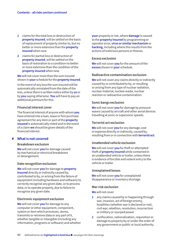- **1** claims for the total loss or destruction of **property insured**, will be settled on the basis of replacement of property similar to, but no better or more extensive than the **property insured** when new
- **2** claims for partial loss or destruction of **property insured**, will be settled on the basis of restoration to a condition no better or more extensive than the condition of the **property insured** when new.

**We** will not cover more than the sum insured shown in **your** schedule for the **property insured**.

In the event of any loss the sum insured will be automatically reinstated from the date of the loss, unless there is written notice either by **us** or by **you** saying otherwise. **You** will have to pay an additional premium for this.

### **Financial interest cover**

The financial interest of anyone with whom **you** have entered into a loan, lease or hire purchase agreement for any item or part of the **property insured** is automatically noted and in the event of a claim **we** should be given details of the financial interest.

# **What is not covered** 8

#### **Breakdown exclusion**

**We** will not cover **you** for damage caused by mechanical or electrical breakdown or derangement.

#### **Date recognition exclusion**

**We** will not cover **you** for damage to **property insured** directly or indirectly caused by, contributed to by, or arising from the failure of equipment (including hardware and software) to correctly recognise any given date, or to process data, or to operate properly, due to failure to recognise any given date.

#### **Electronic equipment exclusion**

**We** will not cover **you** for damage to any computer or other equipment, component, system or item which processes, stores, transmits or retrieves data or any part of it, whether tangible or intangible (including any information, programs or software) and whether **your** property or not, where **damage** is caused to the **property insured** by programming or operator error, **virus or similar mechanism** or **hacking**, including where this results from the actions of malicious persons or thieves.

#### **Excess exclusion**

**We** will not cover **you** for the amount of the **excess** shown in **your** schedule.

### **Radioactive contamination exclusion**

**We** will not cover any claims directly or indirectly caused by or contributed to by, or resulting or arising from any type of nuclear radiation, nuclear material, nuclear waste, nuclear reaction or radioactive contamination.

#### **Sonic bangs exclusion**

**We** will not cover **you** for damage by pressure waves caused by aircraft and other aerial devices travelling at sonic or supersonic speeds.

#### **Terrorist act exclusion**

**We** will not cover **you** for any damage, cost or expense directly or indirectly, caused by, resulting from or in connection with **terrorist act**.

#### **Unattended vehicle exclusion**

**We** will not cover **you** for theft or attempted theft of **property insured** while contained in an unattended vehicle or trailer, unless there is evidence of forcible and violent entry to the vehicle or trailer.

#### **Unexplained losses**

**We** will not cover **you** for unexplained disappearance or inventory shortage.

#### **War risk exclusion**

**We** will not cover

- **1** any claims caused by or happening through war, invasion, act of foreign enemy, hostilities (whether war is declared or not), civil war, rebellion, revolution, insurrection or military or usurped power
- **2** confiscation, nationalisation, requisition or damage to property by or under the order of any government or public or local authority.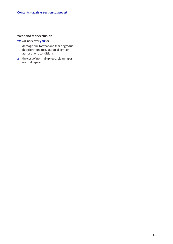# **Wear and tear exclusion**

**We** will not cover **you** for

- **1** damage due to wear and tear or gradual deterioration, rust, action of light or atmospheric conditions
- **2** the cost of normal upkeep, cleaning or normal repairs.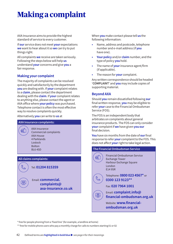# **Making a complaint**

AXA Insurance aims to provide the highest standard of service to every customer.

If **our** service does not meet **your** expectations **we** want to hear about it so **we** can try to put things right.

All complaints **we** receive are taken seriously. Following the steps below will help **us** understand **your** concerns and give **you** a fair response.

# **Making your complaint**

The majority of complaints can be resolved quickly and satisfactorily by the department **you** are dealing with. If **your** complaint relates to a **claim**, please contact the department dealing with the **claim**. If **your** complaint relates to anything else, please contact the agent or AXA office where **your policy** was purchased. Telephone contact is often the most effective way to resolve complaints quickly.

Alternatively **you** can write to **us** at

#### **AXA Insurance complaints:**

图

 $\boxed{\boxtimes}$ 

AXA Insurance Commercial complaints AXA House 4 Parklands Lostock Bolton BL6 4SD

#### **All claims complaints:**

Tel: **01204 815359**

Email: **commercial. complaints@ axa-insurance.co.uk** When **you** make contact please tell **us** the following information:

- **•** Name, address and postcode, telephone number and e-mail address (if **you** have one).
- **• Your policy** and/or **claim** number, and the type of policy **you** hold.
- **•** The name of **your** insurance agent/firm (if applicable).
- **•** The reason for **your** complaint.

Any written correspondence should be headed '**COMPLAINT**' and **you** may include copies of supporting material.

# **Beyond AXA**

Should **you** remain dissatisfied following **our** final written response, **you** may be eligible to refer **your** case to the Financial Ombudsman Service (FOS).

The FOS is an independent body that arbitrates on complaints about general insurance products. The FOS can only consider **your** complaint if **we** have given **you our** final decision.

**You** have six months from the date of **our** final response to refer **your** complaint to the FOS. This does not affect **your** right to take legal action.

| <b>The Financial Ombudsman Service</b> |                                                                                                       |
|----------------------------------------|-------------------------------------------------------------------------------------------------------|
|                                        | Financial Ombudsman Service<br><b>Exchange Tower</b><br>Harbour Exchange Square<br>I ondon<br>E14 9SR |
|                                        | Telephone: 0800 023 4567* or<br>0300 123 9123**                                                       |
|                                        | Fax: 020 7964 1001                                                                                    |
|                                        | Email: <b>complaint.info@</b><br>financial-ombudsman.org.uk                                           |
|                                        | Website: <b>WWW.financial-</b><br>ombudsman.org.uk                                                    |
|                                        |                                                                                                       |

\* free for people phoning from a 'fixed line' (for example, a landline at home)

\*\* free for mobile phone users who pay a monthly charge for calls to numbers starting 01 or 02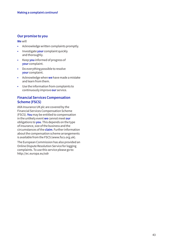# **Our promise to you**

**We** will

- **•** Acknowledge written complaints promptly.
- **•** Investigate **your** complaint quickly and thoroughly.
- **•** Keep **you** informed of progress of **your** complaint.
- **•** Do everything possible to resolve **your** complaint.
- **•** Acknowledge when **we** have made a mistake and learn from them.
- **•** Use the information from complaints to continuously improve **our** service.

# **Financial Services Compensation Scheme (FSCS)**

AXA Insurance UK plc are covered by the Financial Services Compensation Scheme (FSCS). **You** may be entitled to compensation in the unlikely event **we** cannot meet **our** obligations to **you**. This depends on the type of insurance, size of the business and the circumstances of the **claim**. Further information about the compensation scheme arrangements is available from the FSCS (www.fscs.org.uk).

The European Commission has also provided an Online Dispute Resolution Service for logging complaints. To use this service please go to: http://ec.europa.eu/odr